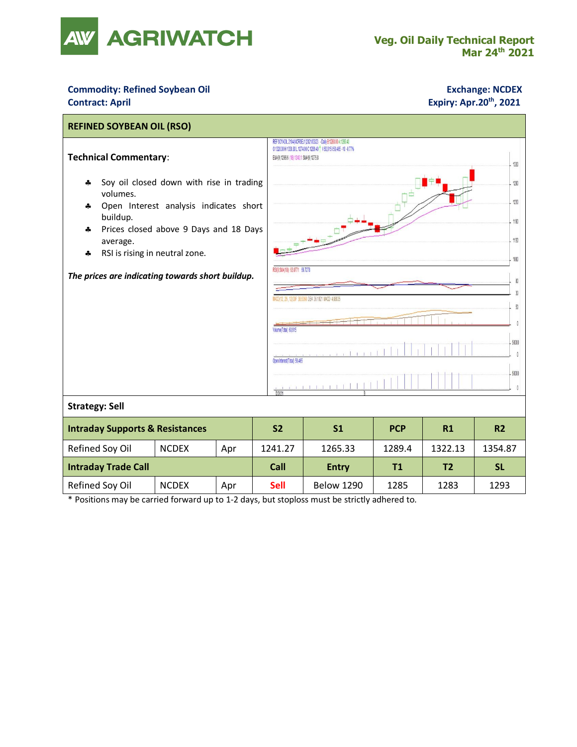

## **Commodity: Refined Soybean Oil <b>Exchange: NCDEX Contract: April Expiry: Apr.20th, 2021**



\* Positions may be carried forward up to 1-2 days, but stoploss must be strictly adhered to.